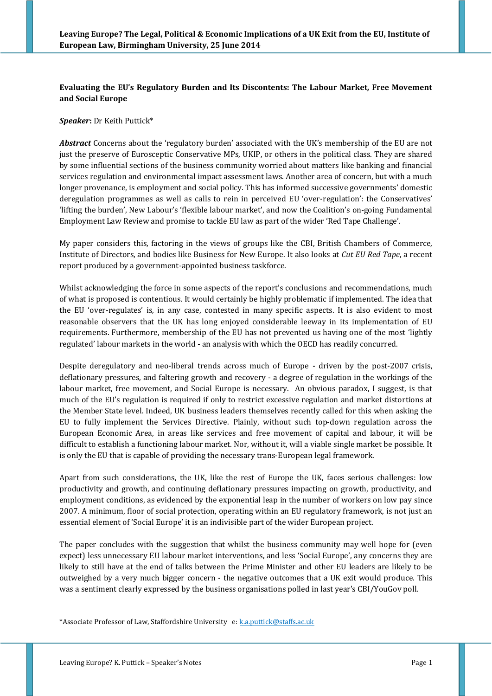# **Evaluating the EU's Regulatory Burden and Its Discontents: The Labour Market, Free Movement and Social Europe**

*Speaker***:** Dr Keith Puttick\*

*Abstract* Concerns about the 'regulatory burden' associated with the UK's membership of the EU are not just the preserve of Eurosceptic Conservative MPs, UKIP, or others in the political class. They are shared by some influential sections of the business community worried about matters like banking and financial services regulation and environmental impact assessment laws. Another area of concern, but with a much longer provenance, is employment and social policy. This has informed successive governments' domestic deregulation programmes as well as calls to rein in perceived EU 'over-regulation': the Conservatives' 'lifting the burden', New Labour's 'flexible labour market', and now the Coalition's on-going Fundamental Employment Law Review and promise to tackle EU law as part of the wider 'Red Tape Challenge'.

My paper considers this, factoring in the views of groups like the CBI, British Chambers of Commerce, Institute of Directors, and bodies like Business for New Europe. It also looks at *Cut EU Red Tape*, a recent report produced by a government-appointed business taskforce.

Whilst acknowledging the force in some aspects of the report's conclusions and recommendations, much of what is proposed is contentious. It would certainly be highly problematic if implemented. The idea that the EU 'over-regulates' is, in any case, contested in many specific aspects. It is also evident to most reasonable observers that the UK has long enjoyed considerable leeway in its implementation of EU requirements. Furthermore, membership of the EU has not prevented us having one of the most 'lightly regulated' labour markets in the world - an analysis with which the OECD has readily concurred.

Despite deregulatory and neo-liberal trends across much of Europe - driven by the post-2007 crisis, deflationary pressures, and faltering growth and recovery - a degree of regulation in the workings of the labour market, free movement, and Social Europe is necessary. An obvious paradox, I suggest, is that much of the EU's regulation is required if only to restrict excessive regulation and market distortions at the Member State level. Indeed, UK business leaders themselves recently called for this when asking the EU to fully implement the Services Directive. Plainly, without such top-down regulation across the European Economic Area, in areas like services and free movement of capital and labour, it will be difficult to establish a functioning labour market. Nor, without it, will a viable single market be possible. It is only the EU that is capable of providing the necessary trans-European legal framework.

Apart from such considerations, the UK, like the rest of Europe the UK, faces serious challenges: low productivity and growth, and continuing deflationary pressures impacting on growth, productivity, and employment conditions, as evidenced by the exponential leap in the number of workers on low pay since 2007. A minimum, floor of social protection, operating within an EU regulatory framework, is not just an essential element of 'Social Europe' it is an indivisible part of the wider European project.

The paper concludes with the suggestion that whilst the business community may well hope for (even expect) less unnecessary EU labour market interventions, and less 'Social Europe', any concerns they are likely to still have at the end of talks between the Prime Minister and other EU leaders are likely to be outweighed by a very much bigger concern - the negative outcomes that a UK exit would produce. This was a sentiment clearly expressed by the business organisations polled in last year's CBI/YouGov poll.

\*Associate Professor of Law, Staffordshire University e: [k.a.puttick@staffs.ac.uk](mailto:k.a.puttick@staffs.ac.uk)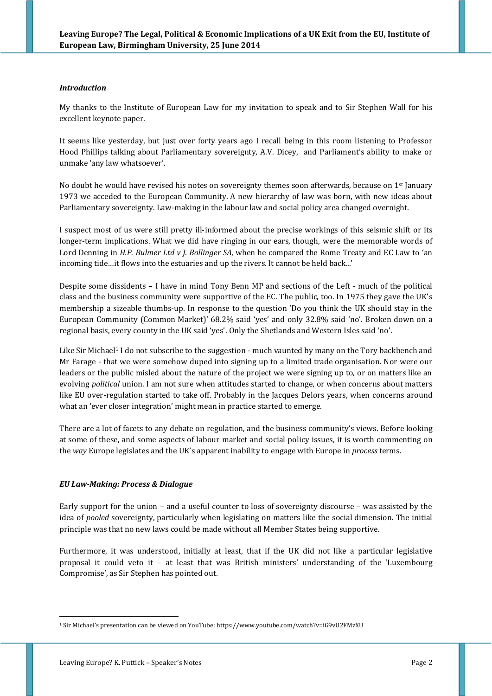## *Introduction*

My thanks to the Institute of European Law for my invitation to speak and to Sir Stephen Wall for his excellent keynote paper.

It seems like yesterday, but just over forty years ago I recall being in this room listening to Professor Hood Phillips talking about Parliamentary sovereignty, A.V. Dicey, and Parliament's ability to make or unmake 'any law whatsoever'.

No doubt he would have revised his notes on sovereignty themes soon afterwards, because on 1st January 1973 we acceded to the European Community. A new hierarchy of law was born, with new ideas about Parliamentary sovereignty. Law-making in the labour law and social policy area changed overnight.

I suspect most of us were still pretty ill-informed about the precise workings of this seismic shift or its longer-term implications. What we did have ringing in our ears, though, were the memorable words of Lord Denning in *H.P. Bulmer Ltd v J. Bollinger SA*, when he compared the Rome Treaty and EC Law to 'an incoming tide…it flows into the estuaries and up the rivers. It cannot be held back...'

Despite some dissidents – I have in mind Tony Benn MP and sections of the Left - much of the political class and the business community were supportive of the EC. The public, too. In 1975 they gave the UK's membership a sizeable thumbs-up. In response to the question 'Do you think the UK should stay in the European Community (Common Market)' 68.2% said 'yes' and only 32.8% said 'no'. Broken down on a regional basis, every county in the UK said 'yes'. Only the Shetlands and Western Isles said 'no'.

Like Sir Michael<sup>1</sup> I do not subscribe to the suggestion - much vaunted by many on the Tory backbench and Mr Farage - that we were somehow duped into signing up to a limited trade organisation. Nor were our leaders or the public misled about the nature of the project we were signing up to, or on matters like an evolving *political* union. I am not sure when attitudes started to change, or when concerns about matters like EU over-regulation started to take off. Probably in the Jacques Delors years, when concerns around what an 'ever closer integration' might mean in practice started to emerge.

There are a lot of facets to any debate on regulation, and the business community's views. Before looking at some of these, and some aspects of labour market and social policy issues, it is worth commenting on the *way* Europe legislates and the UK's apparent inability to engage with Europe in *process* terms.

## *EU Law-Making: Process & Dialogue*

Early support for the union – and a useful counter to loss of sovereignty discourse – was assisted by the idea of *pooled* sovereignty, particularly when legislating on matters like the social dimension. The initial principle was that no new laws could be made without all Member States being supportive.

Furthermore, it was understood, initially at least, that if the UK did not like a particular legislative proposal it could veto it – at least that was British ministers' understanding of the 'Luxembourg Compromise', as Sir Stephen has pointed out.

<sup>1</sup> Sir Michael's presentation can be viewed on YouTube: https://www.youtube.com/watch?v=iG9vU2FMzXU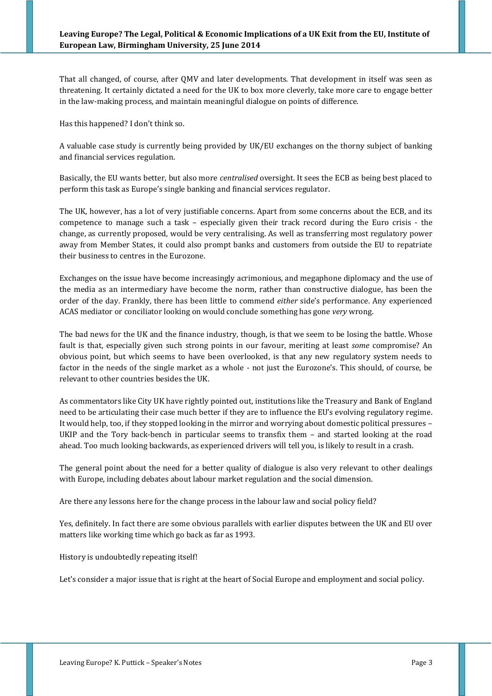That all changed, of course, after QMV and later developments. That development in itself was seen as threatening. It certainly dictated a need for the UK to box more cleverly, take more care to engage better in the law-making process, and maintain meaningful dialogue on points of difference.

Has this happened? I don't think so.

A valuable case study is currently being provided by UK/EU exchanges on the thorny subject of banking and financial services regulation.

Basically, the EU wants better, but also more *centralised* oversight. It sees the ECB as being best placed to perform this task as Europe's single banking and financial services regulator.

The UK, however, has a lot of very justifiable concerns. Apart from some concerns about the ECB, and its competence to manage such a task – especially given their track record during the Euro crisis - the change, as currently proposed, would be very centralising. As well as transferring most regulatory power away from Member States, it could also prompt banks and customers from outside the EU to repatriate their business to centres in the Eurozone.

Exchanges on the issue have become increasingly acrimonious, and megaphone diplomacy and the use of the media as an intermediary have become the norm, rather than constructive dialogue, has been the order of the day. Frankly, there has been little to commend *either* side's performance. Any experienced ACAS mediator or conciliator looking on would conclude something has gone *very* wrong.

The bad news for the UK and the finance industry, though, is that we seem to be losing the battle. Whose fault is that, especially given such strong points in our favour, meriting at least *some* compromise? An obvious point, but which seems to have been overlooked, is that any new regulatory system needs to factor in the needs of the single market as a whole - not just the Eurozone's. This should, of course, be relevant to other countries besides the UK.

As commentators like City UK have rightly pointed out, institutions like the Treasury and Bank of England need to be articulating their case much better if they are to influence the EU's evolving regulatory regime. It would help, too, if they stopped looking in the mirror and worrying about domestic political pressures – UKIP and the Tory back-bench in particular seems to transfix them – and started looking at the road ahead. Too much looking backwards, as experienced drivers will tell you, is likely to result in a crash.

The general point about the need for a better quality of dialogue is also very relevant to other dealings with Europe, including debates about labour market regulation and the social dimension.

Are there any lessons here for the change process in the labour law and social policy field?

Yes, definitely. In fact there are some obvious parallels with earlier disputes between the UK and EU over matters like working time which go back as far as 1993.

History is undoubtedly repeating itself!

Let's consider a major issue that is right at the heart of Social Europe and employment and social policy.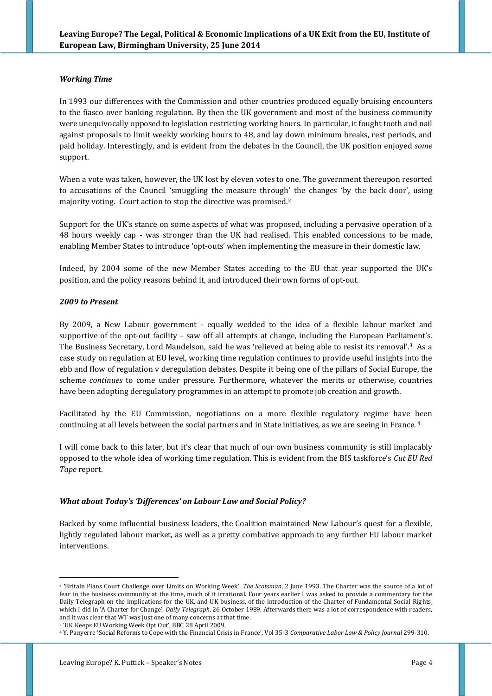### *Working Time*

In 1993 our differences with the Commission and other countries produced equally bruising encounters to the fiasco over banking regulation. By then the UK government and most of the business community were unequivocally opposed to legislation restricting working hours. In particular, it fought tooth and nail against proposals to limit weekly working hours to 48, and lay down minimum breaks, rest periods, and paid holiday. Interestingly, and is evident from the debates in the Council, the UK position enjoyed *some* support.

When a vote was taken, however, the UK lost by eleven votes to one. The government thereupon resorted to accusations of the Council 'smuggling the measure through' the changes 'by the back door', using majority voting. Court action to stop the directive was promised. 2

Support for the UK's stance on some aspects of what was proposed, including a pervasive operation of a 48 hours weekly cap - was stronger than the UK had realised. This enabled concessions to be made, enabling Member States to introduce 'opt-outs' when implementing the measure in their domestic law.

Indeed, by 2004 some of the new Member States acceding to the EU that year supported the UK's position, and the policy reasons behind it, and introduced their own forms of opt-out.

### *2009 to Present*

1

By 2009, a New Labour government - equally wedded to the idea of a flexible labour market and supportive of the opt-out facility – saw off all attempts at change, including the European Parliament's. The Business Secretary, Lord Mandelson, said he was 'relieved at being able to resist its removal'.<sup>3</sup> As a case study on regulation at EU level, working time regulation continues to provide useful insights into the ebb and flow of regulation v deregulation debates. Despite it being one of the pillars of Social Europe, the scheme *continues* to come under pressure. Furthermore, whatever the merits or otherwise, countries have been adopting deregulatory programmes in an attempt to promote job creation and growth.

Facilitated by the EU Commission, negotiations on a more flexible regulatory regime have been continuing at all levels between the social partners and in State initiatives, as we are seeing in France. 4

I will come back to this later, but it's clear that much of our own business community is still implacably opposed to the whole idea of working time regulation. This is evident from the BIS taskforce's *Cut EU Red Tape* report.

#### *What about Today's 'Differences' on Labour Law and Social Policy?*

Backed by some influential business leaders, the Coalition maintained New Labour's quest for a flexible, lightly regulated labour market, as well as a pretty combative approach to any further EU labour market interventions.

<sup>2</sup> **'**Britain Plans Court Challenge over Limits on Working Week', *The Scotsman*, 2 June 1993. The Charter was the source of a lot of fear in the business community at the time, much of it irrational. Four years earlier I was asked to provide a commentary for the Daily Telegraph on the implications for the UK, and UK business, of the introduction of the Charter of Fundamental Social Rights, which I did in 'A Charter for Change', *Daily Telegraph*, 26 October 1989. Afterwards there was a lot of correspondence with readers, and it was clear that WT was just one of many concerns at that time.

<sup>3</sup> 'UK Keeps EU Working Week Opt Out', BBC 28 April 2009.

<sup>4</sup> Y. Panyerre 'Social Reforms to Cope with the Financial Crisis in France', Vol 35-3 *Comparative Labor Law & Policy Journal* 299-310.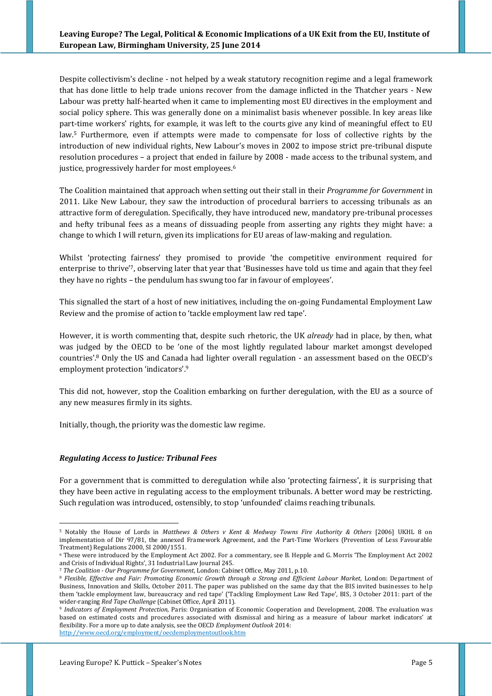Despite collectivism's decline - not helped by a weak statutory recognition regime and a legal framework that has done little to help trade unions recover from the damage inflicted in the Thatcher years - New Labour was pretty half-hearted when it came to implementing most EU directives in the employment and social policy sphere. This was generally done on a minimalist basis whenever possible. In key areas like part-time workers' rights, for example, it was left to the courts give any kind of meaningful effect to EU law.<sup>5</sup> Furthermore, even if attempts were made to compensate for loss of collective rights by the introduction of new individual rights, New Labour's moves in 2002 to impose strict pre-tribunal dispute resolution procedures – a project that ended in failure by 2008 - made access to the tribunal system, and justice, progressively harder for most employees.<sup>6</sup>

The Coalition maintained that approach when setting out their stall in their *Programme for Government* in 2011. Like New Labour, they saw the introduction of procedural barriers to accessing tribunals as an attractive form of deregulation. Specifically, they have introduced new, mandatory pre-tribunal processes and hefty tribunal fees as a means of dissuading people from asserting any rights they might have: a change to which I will return, given its implications for EU areas of law-making and regulation.

Whilst 'protecting fairness' they promised to provide 'the competitive environment required for enterprise to thrive'7, observing later that year that 'Businesses have told us time and again that they feel they have no rights – the pendulum has swung too far in favour of employees'.

This signalled the start of a host of new initiatives, including the on-going Fundamental Employment Law Review and the promise of action to 'tackle employment law red tape'.

However, it is worth commenting that, despite such rhetoric, the UK *already* had in place, by then, what was judged by the OECD to be 'one of the most lightly regulated labour market amongst developed countries'. <sup>8</sup> Only the US and Canada had lighter overall regulation - an assessment based on the OECD's employment protection 'indicators'. 9

This did not, however, stop the Coalition embarking on further deregulation, with the EU as a source of any new measures firmly in its sights.

Initially, though, the priority was the domestic law regime.

#### *Regulating Access to Justice: Tribunal Fees*

1

For a government that is committed to deregulation while also 'protecting fairness', it is surprising that they have been active in regulating access to the employment tribunals. A better word may be restricting. Such regulation was introduced, ostensibly, to stop 'unfounded' claims reaching tribunals.

<sup>5</sup> Notably the House of Lords in *Matthews & Others v Kent & Medway Towns Fire Authority & Others* [2006] UKHL 8 on implementation of Dir 97/81, the annexed Framework Agreement, and the Part-Time Workers (Prevention of Less Favourable Treatment) Regulations 2000, SI 2000/1551.

<sup>6</sup> These were introduced by the Employment Act 2002. For a commentary, see B. Hepple and G. Morris 'The Employment Act 2002 and Crisis of Individual Rights', 31 Industrial Law Journal 245.

<sup>7</sup> *The Coalition - Our Programme for Government*, London: Cabinet Office, May 2011, p.10.

<sup>8</sup> *Flexible, Effective and Fair: Promoting Economic Growth through a Strong and Efficient Labour Market*, London: Department of Business, Innovation and Skills, October 2011. The paper was published on the same day that the BIS invited businesses to help them 'tackle employment law, bureaucracy and red tape' ('Tackling Employment Law Red Tape', BIS, 3 October 2011: part of the wider-ranging *Red Tape Challenge* (Cabinet Office, April 2011).

<sup>9</sup> *Indicators of Employment Protection*, Paris: Organisation of Economic Cooperation and Development, 2008. The evaluation was based on estimated costs and procedures associated with dismissal and hiring as a measure of labour market indicators' at flexibility. For a more up to date analysis, see the OECD *Employment Outlook* 2014: <http://www.oecd.org/employment/oecdemploymentoutlook.htm>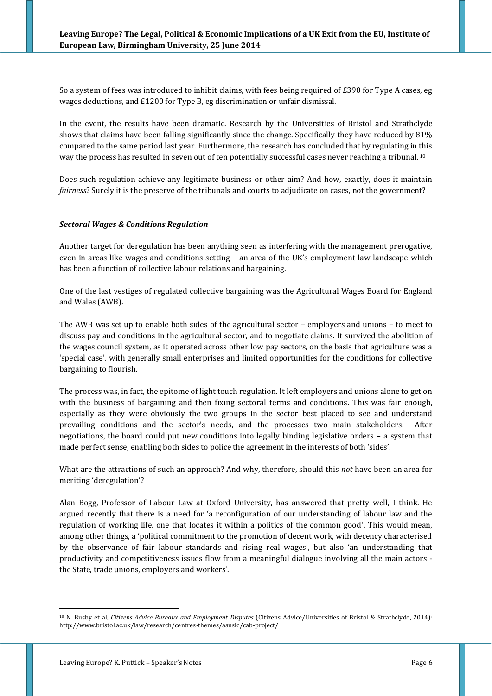So a system of fees was introduced to inhibit claims, with fees being required of £390 for Type A cases, eg wages deductions, and £1200 for Type B, eg discrimination or unfair dismissal.

In the event, the results have been dramatic. Research by the Universities of Bristol and Strathclyde shows that claims have been falling significantly since the change. Specifically they have reduced by 81% compared to the same period last year. Furthermore, the research has concluded that by regulating in this way the process has resulted in seven out of ten potentially successful cases never reaching a tribunal. 10

Does such regulation achieve any legitimate business or other aim? And how, exactly, does it maintain *fairness*? Surely it is the preserve of the tribunals and courts to adjudicate on cases, not the government?

### *Sectoral Wages & Conditions Regulation*

Another target for deregulation has been anything seen as interfering with the management prerogative, even in areas like wages and conditions setting – an area of the UK's employment law landscape which has been a function of collective labour relations and bargaining.

One of the last vestiges of regulated collective bargaining was the Agricultural Wages Board for England and Wales (AWB).

The AWB was set up to enable both sides of the agricultural sector – employers and unions – to meet to discuss pay and conditions in the agricultural sector, and to negotiate claims. It survived the abolition of the wages council system, as it operated across other low pay sectors, on the basis that agriculture was a 'special case', with generally small enterprises and limited opportunities for the conditions for collective bargaining to flourish.

The process was, in fact, the epitome of light touch regulation. It left employers and unions alone to get on with the business of bargaining and then fixing sectoral terms and conditions. This was fair enough, especially as they were obviously the two groups in the sector best placed to see and understand prevailing conditions and the sector's needs, and the processes two main stakeholders. After negotiations, the board could put new conditions into legally binding legislative orders – a system that made perfect sense, enabling both sides to police the agreement in the interests of both 'sides'.

What are the attractions of such an approach? And why, therefore, should this *not* have been an area for meriting 'deregulation'?

Alan Bogg, Professor of Labour Law at Oxford University, has answered that pretty well, I think. He argued recently that there is a need for 'a reconfiguration of our understanding of labour law and the regulation of working life, one that locates it within a politics of the common good'. This would mean, among other things, a 'political commitment to the promotion of decent work, with decency characterised by the observance of fair labour standards and rising real wages', but also 'an understanding that productivity and competitiveness issues flow from a meaningful dialogue involving all the main actors the State, trade unions, employers and workers'.

<sup>10</sup> N. Busby et al, *Citizens Advice Bureaux and Employment Disputes* (Citizens Advice/Universities of Bristol & Strathclyde, 2014): http://www.bristol.ac.uk/law/research/centres-themes/aanslc/cab-project/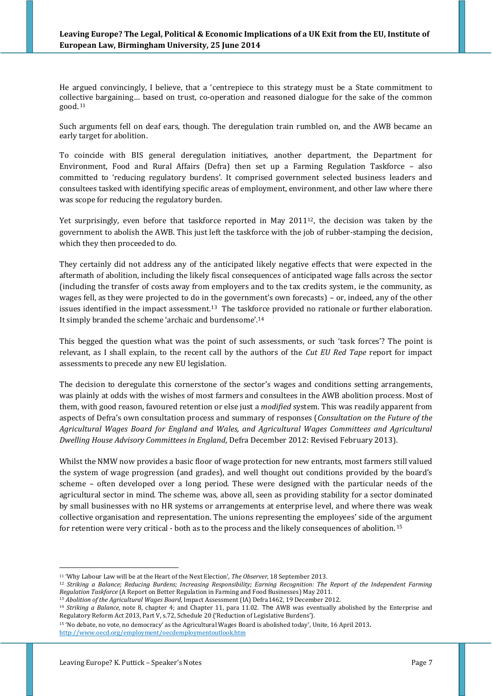He argued convincingly, I believe, that a 'centrepiece to this strategy must be a State commitment to collective bargaining… based on trust, co-operation and reasoned dialogue for the sake of the common good. <sup>11</sup>

Such arguments fell on deaf ears, though. The deregulation train rumbled on, and the AWB became an early target for abolition.

To coincide with BIS general deregulation initiatives, another department, the Department for Environment, Food and Rural Affairs (Defra) then set up a Farming Regulation Taskforce – also committed to 'reducing regulatory burdens'. It comprised government selected business leaders and consultees tasked with identifying specific areas of employment, environment, and other law where there was scope for reducing the regulatory burden.

Yet surprisingly, even before that taskforce reported in May 2011<sup>12</sup>, the decision was taken by the government to abolish the AWB. This just left the taskforce with the job of rubber-stamping the decision, which they then proceeded to do.

They certainly did not address any of the anticipated likely negative effects that were expected in the aftermath of abolition, including the likely fiscal consequences of anticipated wage falls across the sector (including the transfer of costs away from employers and to the tax credits system, ie the community, as wages fell, as they were projected to do in the government's own forecasts) – or, indeed, any of the other issues identified in the impact assessment.<sup>13</sup> The taskforce provided no rationale or further elaboration. It simply branded the scheme 'archaic and burdensome'.<sup>14</sup>

This begged the question what was the point of such assessments, or such 'task forces'? The point is relevant, as I shall explain, to the recent call by the authors of the *Cut EU Red Tape* report for impact assessments to precede any new EU legislation.

The decision to deregulate this cornerstone of the sector's wages and conditions setting arrangements, was plainly at odds with the wishes of most farmers and consultees in the AWB abolition process. Most of them, with good reason, favoured retention or else just a *modified* system. This was readily apparent from aspects of Defra's own consultation process and summary of responses (*Consultation on the Future of the Agricultural Wages Board for England and Wales, and Agricultural Wages Committees and Agricultural Dwelling House Advisory Committees in England*, Defra December 2012: Revised February 2013).

Whilst the NMW now provides a basic floor of wage protection for new entrants, most farmers still valued the system of wage progression (and grades), and well thought out conditions provided by the board's scheme – often developed over a long period. These were designed with the particular needs of the agricultural sector in mind. The scheme was, above all, seen as providing stability for a sector dominated by small businesses with no HR systems or arrangements at enterprise level, and where there was weak collective organisation and representation. The unions representing the employees' side of the argument for retention were very critical - both as to the process and the likely consequences of abolition. 15

<sup>11</sup> 'Why Labour Law will be at the Heart of the Next Election', *The Observer*, 18 September 2013.

<sup>12</sup> *Striking a Balance; Reducing Burdens; Increasing Responsibility; Earning Recognition: The Report of the Independent Farming Regulation Taskforce* (A Report on Better Regulation in Farming and Food Businesses) May 2011.

<sup>13</sup> *Abolition of the Agricultural Wages Board*, Impact Assessment (IA) Defra1462, 19 December 2012.

<sup>14</sup> *Striking a Balance*, note 8, chapter 4; and Chapter 11, para 11.02. The AWB was eventually abolished by the Enterprise and Regulatory Reform Act 2013, Part V, s.72, Schedule 20 ('Reduction of Legislative Burdens').

<sup>15</sup> 'No debate, no vote, no democracy' as the Agricultural Wages Board is abolished today'*,* Unite, 16 April 2013. <http://www.oecd.org/employment/oecdemploymentoutlook.htm>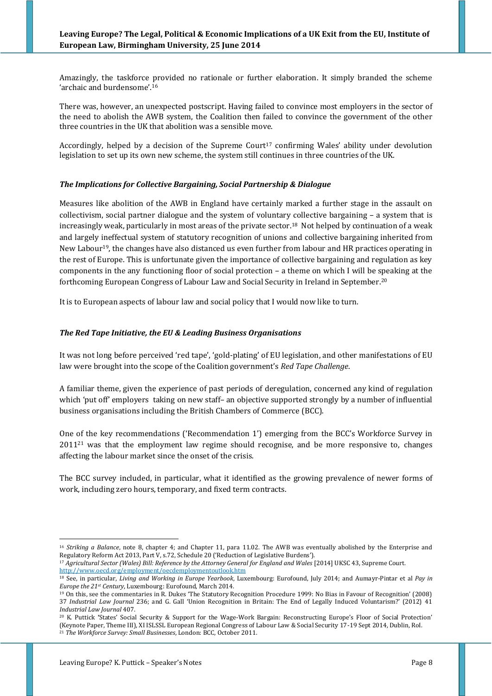Amazingly, the taskforce provided no rationale or further elaboration. It simply branded the scheme 'archaic and burdensome'.<sup>16</sup>

There was, however, an unexpected postscript. Having failed to convince most employers in the sector of the need to abolish the AWB system, the Coalition then failed to convince the government of the other three countries in the UK that abolition was a sensible move.

Accordingly, helped by a decision of the Supreme Court<sup>17</sup> confirming Wales' ability under devolution legislation to set up its own new scheme, the system still continues in three countries of the UK.

### *The Implications for Collective Bargaining, Social Partnership & Dialogue*

Measures like abolition of the AWB in England have certainly marked a further stage in the assault on collectivism, social partner dialogue and the system of voluntary collective bargaining – a system that is increasingly weak, particularly in most areas of the private sector.18 Not helped by continuation of a weak and largely ineffectual system of statutory recognition of unions and collective bargaining inherited from New Labour<sup>19</sup>, the changes have also distanced us even further from labour and HR practices operating in the rest of Europe. This is unfortunate given the importance of collective bargaining and regulation as key components in the any functioning floor of social protection – a theme on which I will be speaking at the forthcoming European Congress of Labour Law and Social Security in Ireland in September. 20

It is to European aspects of labour law and social policy that I would now like to turn.

### *The Red Tape Initiative, the EU & Leading Business Organisations*

It was not long before perceived 'red tape', 'gold-plating' of EU legislation, and other manifestations of EU law were brought into the scope of the Coalition government's *Red Tape Challenge*.

A familiar theme, given the experience of past periods of deregulation, concerned any kind of regulation which 'put off' employers taking on new staff- an objective supported strongly by a number of influential business organisations including the British Chambers of Commerce (BCC).

One of the key recommendations ('Recommendation 1') emerging from the BCC's Workforce Survey in 2011<sup>21</sup> was that the employment law regime should recognise, and be more responsive to, changes affecting the labour market since the onset of the crisis.

The BCC survey included, in particular, what it identified as the growing prevalence of newer forms of work, including zero hours, temporary, and fixed term contracts.

<sup>16</sup> *Striking a Balance*, note 8, chapter 4; and Chapter 11, para 11.02. The AWB was eventually abolished by the Enterprise and Regulatory Reform Act 2013, Part V, s.72, Schedule 20 ('Reduction of Legislative Burdens').

<sup>17</sup> *Agricultural Sector (Wales) Bill: Reference by the Attorney General for England and Wales* [2014] UKSC 43, Supreme Court. <http://www.oecd.org/employment/oecdemploymentoutlook.htm>

<sup>18</sup> See, in particular, *Living and Working in Europe Yearbook*, Luxembourg: Eurofound, July 2014; and Aumayr-Pintar et al *Pay in Europe the 21st Century*, Luxembourg: Eurofound, March 2014.

<sup>19</sup> On this, see the commentaries in R. Dukes 'The Statutory Recognition Procedure 1999: No Bias in Favour of Recognition' (2008) 37 *Industrial Law Journal* 236; and G. Gall 'Union Recognition in Britain: The End of Legally Induced Voluntarism?' (2012) 41 *Industrial Law Journal* 407.

<sup>20</sup> K. Puttick **'**States' Social Security & Support for the Wage-Work Bargain: Reconstructing Europe's Floor of Social Protection' (Keynote Paper, Theme III), XI ISLSSL European Regional Congress of Labour Law & Social Security 17-19 Sept 2014, Dublin, RoI. <sup>21</sup> *The Workforce Survey: Small Businesses*, London: BCC, October 2011.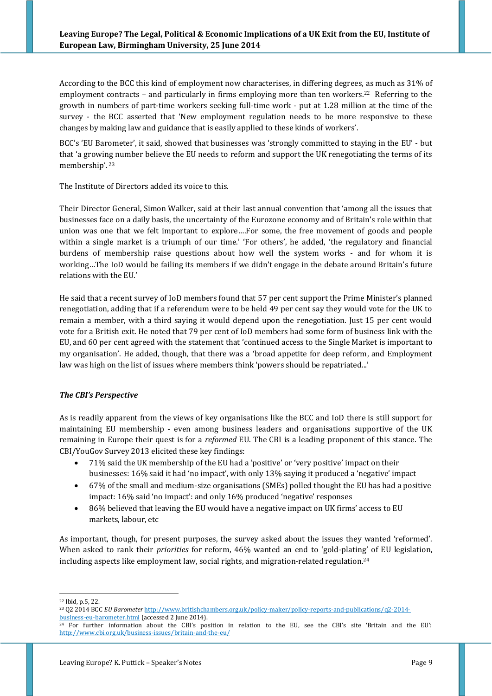According to the BCC this kind of employment now characterises, in differing degrees, as much as 31% of employment contracts - and particularly in firms employing more than ten workers.<sup>22</sup> Referring to the growth in numbers of part-time workers seeking full-time work - put at 1.28 million at the time of the survey - the BCC asserted that 'New employment regulation needs to be more responsive to these changes by making law and guidance that is easily applied to these kinds of workers'.

BCC's 'EU Barometer', it said, showed that businesses was 'strongly committed to staying in the EU' - but that 'a growing number believe the EU needs to reform and support the UK renegotiating the terms of its membership'. <sup>23</sup>

The Institute of Directors added its voice to this.

Their Director General, Simon Walker, said at their last annual convention that 'among all the issues that businesses face on a daily basis, the uncertainty of the Eurozone economy and of Britain's role within that union was one that we felt important to explore….For some, the free movement of goods and people within a single market is a triumph of our time.' 'For others', he added, 'the regulatory and financial burdens of membership raise questions about how well the system works - and for whom it is working…The IoD would be failing its members if we didn't engage in the debate around Britain's future relations with the EU.'

He said that a recent survey of IoD members found that 57 per cent support the Prime Minister's planned renegotiation, adding that if a referendum were to be held 49 per cent say they would vote for the UK to remain a member, with a third saying it would depend upon the renegotiation. Just 15 per cent would vote for a British exit. He noted that 79 per cent of IoD members had some form of business link with the EU, and 60 per cent agreed with the statement that 'continued access to the Single Market is important to my organisation'. He added, though, that there was a 'broad appetite for deep reform, and Employment law was high on the list of issues where members think 'powers should be repatriated...'

## *The CBI's Perspective*

As is readily apparent from the views of key organisations like the BCC and IoD there is still support for maintaining EU membership - even among business leaders and organisations supportive of the UK remaining in Europe their quest is for a *reformed* EU. The CBI is a leading proponent of this stance. The CBI/YouGov Survey 2013 elicited these key findings:

- 71% said the UK membership of the EU had a 'positive' or 'very positive' impact on their businesses: 16% said it had 'no impact', with only 13% saying it produced a 'negative' impact
- 67% of the small and medium-size organisations (SMEs) polled thought the EU has had a positive impact: 16% said 'no impact': and only 16% produced 'negative' responses
- 86% believed that leaving the EU would have a negative impact on UK firms' access to EU markets, labour, etc

As important, though, for present purposes, the survey asked about the issues they wanted 'reformed'. When asked to rank their *priorities* for reform, 46% wanted an end to 'gold-plating' of EU legislation, including aspects like employment law, social rights, and migration-related regulation. 24

<sup>22</sup> Ibid, p.5, 22.

<sup>23</sup> Q2 2014 BCC *EU Barometer* [http://www.britishchambers.org.uk/policy-maker/policy-reports-and-publications/q2-2014](http://www.britishchambers.org.uk/policy-maker/policy-reports-and-publications/q2-2014-business-eu-barometer.html) [business-eu-barometer.html](http://www.britishchambers.org.uk/policy-maker/policy-reports-and-publications/q2-2014-business-eu-barometer.html) (accessed 2 June 2014).

<sup>&</sup>lt;sup>24</sup> For further information about the CBI's position in relation to the EU, see the CBI's site 'Britain and the EU': <http://www.cbi.org.uk/business-issues/britain-and-the-eu/>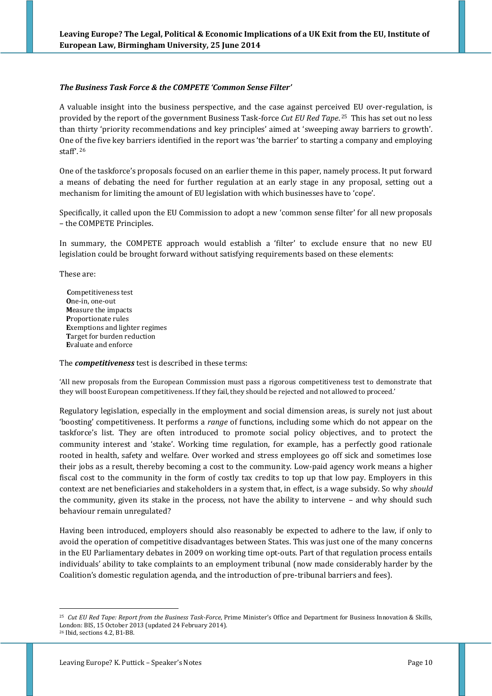### *The Business Task Force & the COMPETE 'Common Sense Filter'*

A valuable insight into the business perspective, and the case against perceived EU over-regulation, is provided by the report of the government Business Task-force *Cut EU Red Tape*. <sup>25</sup> This has set out no less than thirty 'priority recommendations and key principles' aimed at 'sweeping away barriers to growth'. One of the five key barriers identified in the report was 'the barrier' to starting a company and employing staff'. <sup>26</sup>

One of the taskforce's proposals focused on an earlier theme in this paper, namely process. It put forward a means of debating the need for further regulation at an early stage in any proposal, setting out a mechanism for limiting the amount of EU legislation with which businesses have to 'cope'.

Specifically, it called upon the EU Commission to adopt a new 'common sense filter' for all new proposals – the COMPETE Principles.

In summary, the COMPETE approach would establish a 'filter' to exclude ensure that no new EU legislation could be brought forward without satisfying requirements based on these elements:

These are:

 **C**ompetitiveness test  **O**ne-in, one-out  **M**easure the impacts  **P**roportionate rules  **E**xemptions and lighter regimes  **T**arget for burden reduction  **E**valuate and enforce

The *competitiveness* test is described in these terms:

'All new proposals from the European Commission must pass a rigorous competitiveness test to demonstrate that they will boost European competitiveness. If they fail, they should be rejected and not allowed to proceed.'

Regulatory legislation, especially in the employment and social dimension areas, is surely not just about 'boosting' competitiveness. It performs a *range* of functions, including some which do not appear on the taskforce's list. They are often introduced to promote social policy objectives, and to protect the community interest and 'stake'. Working time regulation, for example, has a perfectly good rationale rooted in health, safety and welfare. Over worked and stress employees go off sick and sometimes lose their jobs as a result, thereby becoming a cost to the community. Low-paid agency work means a higher fiscal cost to the community in the form of costly tax credits to top up that low pay. Employers in this context are net beneficiaries and stakeholders in a system that, in effect, is a wage subsidy. So why *should* the community, given its stake in the process, not have the ability to intervene – and why should such behaviour remain unregulated?

Having been introduced, employers should also reasonably be expected to adhere to the law, if only to avoid the operation of competitive disadvantages between States. This was just one of the many concerns in the EU Parliamentary debates in 2009 on working time opt-outs. Part of that regulation process entails individuals' ability to take complaints to an employment tribunal (now made considerably harder by the Coalition's domestic regulation agenda, and the introduction of pre-tribunal barriers and fees).

<sup>25</sup> *Cut EU Red Tape: Report from the Business Task-Force*, Prime Minister's Office and Department for Business Innovation & Skills, London: BIS, 15 October 2013 (updated 24 February 2014). <sup>26</sup> Ibid, sections 4.2, B1-B8.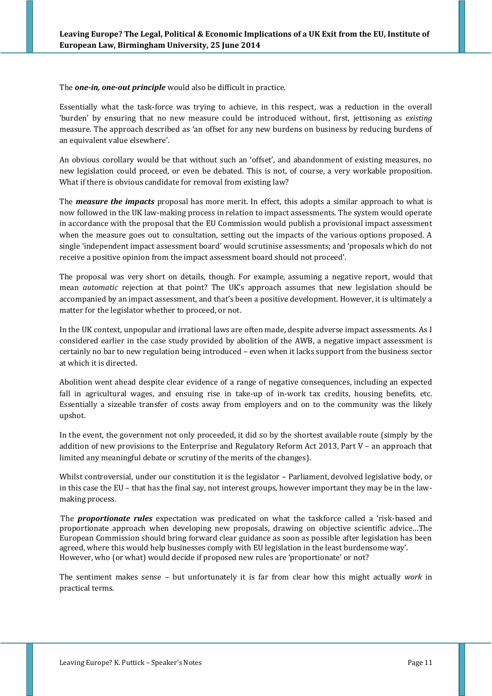The *one-in, one-out principle* would also be difficult in practice.

Essentially what the task-force was trying to achieve, in this respect, was a reduction in the overall 'burden' by ensuring that no new measure could be introduced without, first, jettisoning as *existing* measure. The approach described as 'an offset for any new burdens on business by reducing burdens of an equivalent value elsewhere'.

An obvious corollary would be that without such an 'offset', and abandonment of existing measures, no new legislation could proceed, or even be debated. This is not, of course, a very workable proposition. What if there is obvious candidate for removal from existing law?

The *measure the impacts* proposal has more merit. In effect, this adopts a similar approach to what is now followed in the UK law-making process in relation to impact assessments. The system would operate in accordance with the proposal that the EU Commission would publish a provisional impact assessment when the measure goes out to consultation, setting out the impacts of the various options proposed. A single 'independent impact assessment board' would scrutinise assessments; and 'proposals which do not receive a positive opinion from the impact assessment board should not proceed'.

The proposal was very short on details, though. For example, assuming a negative report, would that mean *automatic* rejection at that point? The UK's approach assumes that new legislation should be accompanied by an impact assessment, and that's been a positive development. However, it is ultimately a matter for the legislator whether to proceed, or not.

In the UK context, unpopular and irrational laws are often made, despite adverse impact assessments. As I considered earlier in the case study provided by abolition of the AWB, a negative impact assessment is certainly no bar to new regulation being introduced – even when it lacks support from the business sector at which it is directed.

Abolition went ahead despite clear evidence of a range of negative consequences, including an expected fall in agricultural wages, and ensuing rise in take-up of in-work tax credits, housing benefits, etc. Essentially a sizeable transfer of costs away from employers and on to the community was the likely upshot.

In the event, the government not only proceeded, it did so by the shortest available route (simply by the addition of new provisions to the Enterprise and Regulatory Reform Act 2013, Part V – an approach that limited any meaningful debate or scrutiny of the merits of the changes).

Whilst controversial, under our constitution it is the legislator – Parliament, devolved legislative body, or in this case the EU – that has the final say, not interest groups, however important they may be in the lawmaking process.

The *proportionate rules* expectation was predicated on what the taskforce called a 'risk-based and proportionate approach when developing new proposals, drawing on objective scientific advice…The European Commission should bring forward clear guidance as soon as possible after legislation has been agreed, where this would help businesses comply with EU legislation in the least burdensome way'. However, who (or what) would decide if proposed new rules are 'proportionate' or not?

The sentiment makes sense – but unfortunately it is far from clear how this might actually *work* in practical terms.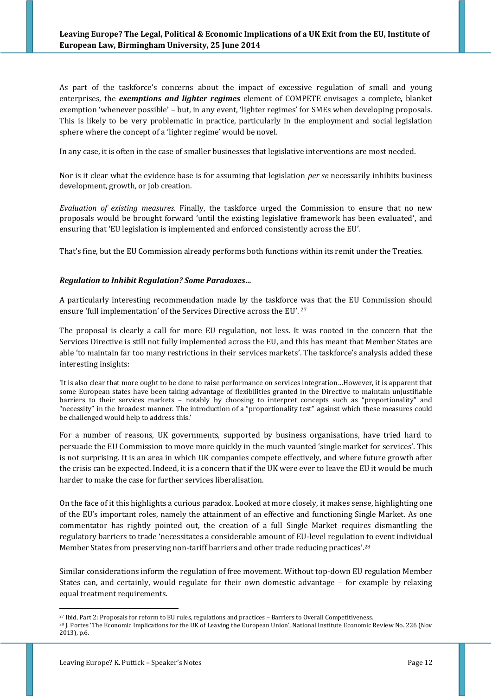As part of the taskforce's concerns about the impact of excessive regulation of small and young enterprises, the *exemptions and lighter regimes* element of COMPETE envisages a complete, blanket exemption 'whenever possible' – but, in any event, 'lighter regimes' for SMEs when developing proposals. This is likely to be very problematic in practice, particularly in the employment and social legislation sphere where the concept of a 'lighter regime' would be novel.

In any case, it is often in the case of smaller businesses that legislative interventions are most needed.

Nor is it clear what the evidence base is for assuming that legislation *per se* necessarily inhibits business development, growth, or job creation.

*Evaluation of existing measures*. Finally, the taskforce urged the Commission to ensure that no new proposals would be brought forward 'until the existing legislative framework has been evaluated', and ensuring that 'EU legislation is implemented and enforced consistently across the EU'.

That's fine, but the EU Commission already performs both functions within its remit under the Treaties.

### *Regulation to Inhibit Regulation? Some Paradoxes…*

A particularly interesting recommendation made by the taskforce was that the EU Commission should ensure 'full implementation' of the Services Directive across the EU'. 27

The proposal is clearly a call for more EU regulation, not less. It was rooted in the concern that the Services Directive is still not fully implemented across the EU, and this has meant that Member States are able 'to maintain far too many restrictions in their services markets'. The taskforce's analysis added these interesting insights:

'It is also clear that more ought to be done to raise performance on services integration…However, it is apparent that some European states have been taking advantage of flexibilities granted in the Directive to maintain unjustifiable barriers to their services markets – notably by choosing to interpret concepts such as "proportionality" and "necessity" in the broadest manner. The introduction of a "proportionality test" against which these measures could be challenged would help to address this.'

For a number of reasons, UK governments, supported by business organisations, have tried hard to persuade the EU Commission to move more quickly in the much vaunted 'single market for services'. This is not surprising. It is an area in which UK companies compete effectively, and where future growth after the crisis can be expected. Indeed, it is a concern that if the UK were ever to leave the EU it would be much harder to make the case for further services liberalisation.

On the face of it this highlights a curious paradox. Looked at more closely, it makes sense, highlighting one of the EU's important roles, namely the attainment of an effective and functioning Single Market. As one commentator has rightly pointed out, the creation of a full Single Market requires dismantling the regulatory barriers to trade 'necessitates a considerable amount of EU-level regulation to event individual Member States from preserving non-tariff barriers and other trade reducing practices'.<sup>28</sup>

Similar considerations inform the regulation of free movement. Without top-down EU regulation Member States can, and certainly, would regulate for their own domestic advantage – for example by relaxing equal treatment requirements.

<sup>27</sup> Ibid, Part 2: Proposals for reform to EU rules, regulations and practices – Barriers to Overall Competitiveness.

<sup>&</sup>lt;sup>28</sup> J. Portes 'The Economic Implications for the UK of Leaving the European Union', National Institute Economic Review No. 226 (Nov 2013), p.6.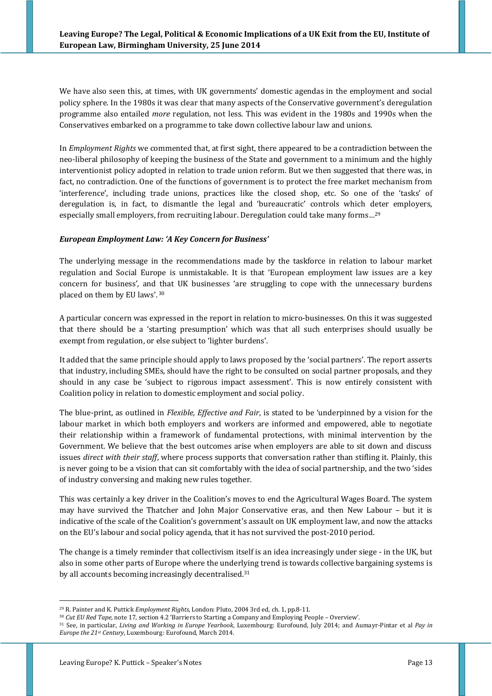We have also seen this, at times, with UK governments' domestic agendas in the employment and social policy sphere. In the 1980s it was clear that many aspects of the Conservative government's deregulation programme also entailed *more* regulation, not less. This was evident in the 1980s and 1990s when the Conservatives embarked on a programme to take down collective labour law and unions.

In *Employment Rights* we commented that, at first sight, there appeared to be a contradiction between the neo-liberal philosophy of keeping the business of the State and government to a minimum and the highly interventionist policy adopted in relation to trade union reform. But we then suggested that there was, in fact, no contradiction. One of the functions of government is to protect the free market mechanism from 'interference', including trade unions, practices like the closed shop, etc. So one of the 'tasks' of deregulation is, in fact, to dismantle the legal and 'bureaucratic' controls which deter employers, especially small employers, from recruiting labour. Deregulation could take many forms…<sup>29</sup>

## *European Employment Law: 'A Key Concern for Business'*

The underlying message in the recommendations made by the taskforce in relation to labour market regulation and Social Europe is unmistakable. It is that 'European employment law issues are a key concern for business', and that UK businesses 'are struggling to cope with the unnecessary burdens placed on them by EU laws'. 30

A particular concern was expressed in the report in relation to micro-businesses. On this it was suggested that there should be a 'starting presumption' which was that all such enterprises should usually be exempt from regulation, or else subject to 'lighter burdens'.

It added that the same principle should apply to laws proposed by the 'social partners'. The report asserts that industry, including SMEs, should have the right to be consulted on social partner proposals, and they should in any case be 'subject to rigorous impact assessment'. This is now entirely consistent with Coalition policy in relation to domestic employment and social policy.

The blue-print, as outlined in *Flexible, Effective and Fair*, is stated to be 'underpinned by a vision for the labour market in which both employers and workers are informed and empowered, able to negotiate their relationship within a framework of fundamental protections, with minimal intervention by the Government. We believe that the best outcomes arise when employers are able to sit down and discuss issues *direct with their staff*, where process supports that conversation rather than stifling it. Plainly, this is never going to be a vision that can sit comfortably with the idea of social partnership, and the two 'sides of industry conversing and making new rules together.

This was certainly a key driver in the Coalition's moves to end the Agricultural Wages Board. The system may have survived the Thatcher and John Major Conservative eras, and then New Labour – but it is indicative of the scale of the Coalition's government's assault on UK employment law, and now the attacks on the EU's labour and social policy agenda, that it has not survived the post-2010 period.

The change is a timely reminder that collectivism itself is an idea increasingly under siege - in the UK, but also in some other parts of Europe where the underlying trend is towards collective bargaining systems is by all accounts becoming increasingly decentralised.<sup>31</sup>

<sup>29</sup> R. Painter and K. Puttick *Employment Rights*, London: Pluto, 2004 3rd ed, ch. 1, pp.8-11.

<sup>30</sup> *Cut EU Red Tape*, note 17, section 4.2 'Barriers to Starting a Company and Employing People – Overview'.

<sup>31</sup> See, in particular, *Living and Working in Europe Yearbook*, Luxembourg: Eurofound, July 2014; and Aumayr-Pintar et al *Pay in Europe the 21st Century*, Luxembourg: Eurofound, March 2014.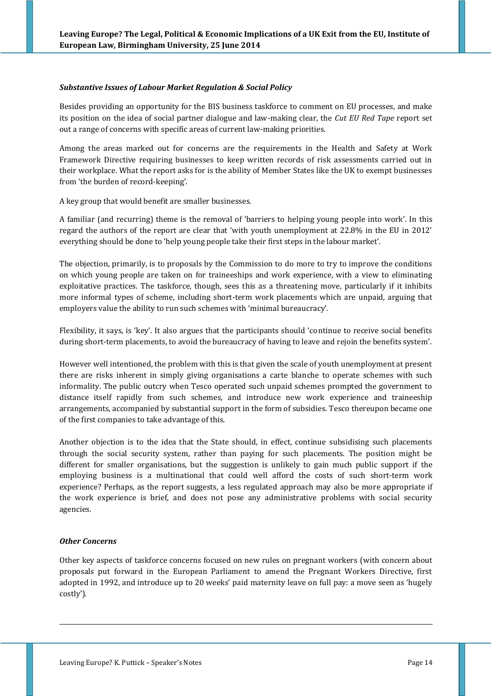### *Substantive Issues of Labour Market Regulation & Social Policy*

Besides providing an opportunity for the BIS business taskforce to comment on EU processes, and make its position on the idea of social partner dialogue and law-making clear, the *Cut EU Red Tape* report set out a range of concerns with specific areas of current law-making priorities.

Among the areas marked out for concerns are the requirements in the Health and Safety at Work Framework Directive requiring businesses to keep written records of risk assessments carried out in their workplace. What the report asks for is the ability of Member States like the UK to exempt businesses from 'the burden of record-keeping'.

A key group that would benefit are smaller businesses.

A familiar (and recurring) theme is the removal of 'barriers to helping young people into work'. In this regard the authors of the report are clear that 'with youth unemployment at 22.8% in the EU in 2012' everything should be done to 'help young people take their first steps in the labour market'.

The objection, primarily, is to proposals by the Commission to do more to try to improve the conditions on which young people are taken on for traineeships and work experience, with a view to eliminating exploitative practices. The taskforce, though, sees this as a threatening move, particularly if it inhibits more informal types of scheme, including short-term work placements which are unpaid, arguing that employers value the ability to run such schemes with 'minimal bureaucracy'.

Flexibility, it says, is 'key'. It also argues that the participants should 'continue to receive social benefits during short-term placements, to avoid the bureaucracy of having to leave and rejoin the benefits system'.

However well intentioned, the problem with this is that given the scale of youth unemployment at present there are risks inherent in simply giving organisations a carte blanche to operate schemes with such informality. The public outcry when Tesco operated such unpaid schemes prompted the government to distance itself rapidly from such schemes, and introduce new work experience and traineeship arrangements, accompanied by substantial support in the form of subsidies. Tesco thereupon became one of the first companies to take advantage of this.

Another objection is to the idea that the State should, in effect, continue subsidising such placements through the social security system, rather than paying for such placements. The position might be different for smaller organisations, but the suggestion is unlikely to gain much public support if the employing business is a multinational that could well afford the costs of such short-term work experience? Perhaps, as the report suggests, a less regulated approach may also be more appropriate if the work experience is brief, and does not pose any administrative problems with social security agencies.

## *Other Concerns*

<u>.</u>

Other key aspects of taskforce concerns focused on new rules on pregnant workers (with concern about proposals put forward in the European Parliament to amend the Pregnant Workers Directive, first adopted in 1992, and introduce up to 20 weeks' paid maternity leave on full pay: a move seen as 'hugely costly').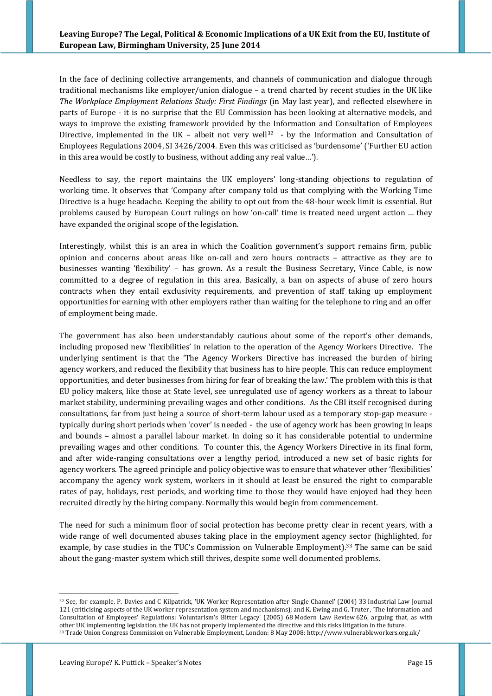In the face of declining collective arrangements, and channels of communication and dialogue through traditional mechanisms like employer/union dialogue – a trend charted by recent studies in the UK like *The Workplace Employment Relations Study: First Findings* (in May last year), and reflected elsewhere in parts of Europe - it is no surprise that the EU Commission has been looking at alternative models, and ways to improve the existing framework provided by the Information and Consultation of Employees Directive, implemented in the UK – albeit not very well<sup>32</sup> - by the Information and Consultation of Employees Regulations 2004, [SI 3426/2004.](http://www.opsi.gov.uk/si/si2004/20043426.htm) Even this was criticised as 'burdensome' ('Further EU action in this area would be costly to business, without adding any real value…').

Needless to say, the report maintains the UK employers' long-standing objections to regulation of working time. It observes that 'Company after company told us that complying with the Working Time Directive is a huge headache. Keeping the ability to opt out from the 48-hour week limit is essential. But problems caused by European Court rulings on how 'on-call' time is treated need urgent action … they have expanded the original scope of the legislation.

Interestingly, whilst this is an area in which the Coalition government's support remains firm, public opinion and concerns about areas like on-call and zero hours contracts – attractive as they are to businesses wanting 'flexibility' – has grown. As a result the Business Secretary, Vince Cable, is now committed to a degree of regulation in this area. Basically, a ban on aspects of abuse of zero hours contracts when they entail exclusivity requirements, and prevention of staff taking up employment opportunities for earning with other employers rather than waiting for the telephone to ring and an offer of employment being made.

The government has also been understandably cautious about some of the report's other demands, including proposed new 'flexibilities' in relation to the operation of the Agency Workers Directive. The underlying sentiment is that the 'The Agency Workers Directive has increased the burden of hiring agency workers, and reduced the flexibility that business has to hire people. This can reduce employment opportunities, and deter businesses from hiring for fear of breaking the law.' The problem with this is that EU policy makers, like those at State level, see unregulated use of agency workers as a threat to labour market stability, undermining prevailing wages and other conditions. As the CBI itself recognised during consultations, far from just being a source of short-term labour used as a temporary stop-gap measure typically during short periods when 'cover' is needed - the use of agency work has been growing in leaps and bounds – almost a parallel labour market. In doing so it has considerable potential to undermine prevailing wages and other conditions. To counter this, the Agency Workers Directive in its final form, and after wide-ranging consultations over a lengthy period, introduced a new set of basic rights for agency workers. The agreed principle and policy objective was to ensure that whatever other 'flexibilities' accompany the agency work system, workers in it should at least be ensured the right to comparable rates of pay, holidays, rest periods, and working time to those they would have enjoyed had they been recruited directly by the hiring company. Normally this would begin from commencement.

The need for such a minimum floor of social protection has become pretty clear in recent years, with a wide range of well documented abuses taking place in the employment agency sector (highlighted, for example, by case studies in the TUC's Commission on Vulnerable Employment).<sup>33</sup> The same can be said about the gang-master system which still thrives, despite some well documented problems.

<sup>32</sup> See, for example, P. Davies and C Kilpatrick, 'UK Worker Representation after Single Channel' (2004) 33 Industrial Law Journal 121 (criticising aspects of the UK worker representation system and mechanisms); and K. Ewing and G. Truter, 'The Information and Consultation of Employees' Regulations: Voluntarism's Bitter Legacy' (2005) 68 Modern Law Review 626, arguing that, as with other UK implementing legislation, the UK has not properly implemented the directive and this risks litigation in the future. <sup>33</sup> Trade Union Congress Commission on Vulnerable Employment, London: 8 May 2008: http://www.vulnerableworkers.org.uk/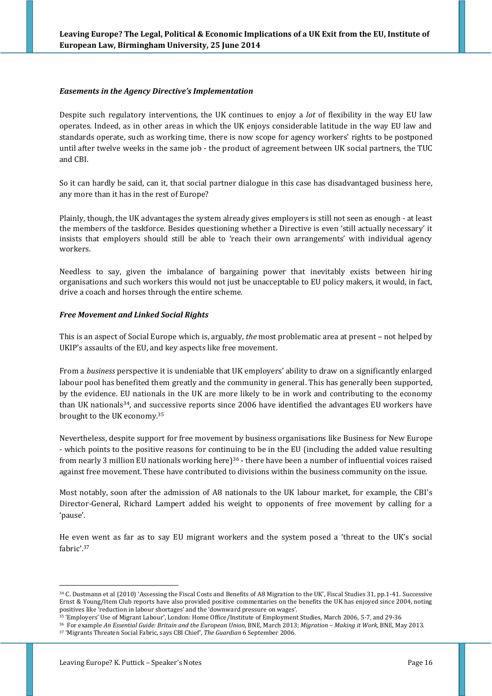### *Easements in the Agency Directive's Implementation*

Despite such regulatory interventions, the UK continues to enjoy a *lot* of flexibility in the way EU law operates. Indeed, as in other areas in which the UK enjoys considerable latitude in the way EU law and standards operate, such as working time, there is now scope for agency workers' rights to be postponed until after twelve weeks in the same job - the product of agreement between UK social partners, the TUC and CBI.

So it can hardly be said, can it, that social partner dialogue in this case has disadvantaged business here, any more than it has in the rest of Europe?

Plainly, though, the UK advantages the system already gives employers is still not seen as enough - at least the members of the taskforce. Besides questioning whether a Directive is even 'still actually necessary' it insists that employers should still be able to 'reach their own arrangements' with individual agency workers.

Needless to say, given the imbalance of bargaining power that inevitably exists between hiring organisations and such workers this would not just be unacceptable to EU policy makers, it would, in fact, drive a coach and horses through the entire scheme.

### *Free Movement and Linked Social Rights*

This is an aspect of Social Europe which is, arguably, *the* most problematic area at present – not helped by UKIP's assaults of the EU, and key aspects like free movement.

From a *business* perspective it is undeniable that UK employers' ability to draw on a significantly enlarged labour pool has benefited them greatly and the community in general. This has generally been supported, by the evidence. EU nationals in the UK are more likely to be in work and contributing to the economy than UK nationals34, and successive reports since 2006 have identified the advantages EU workers have brought to the UK economy.<sup>35</sup>

Nevertheless, despite support for free movement by business organisations like Business for New Europe - which points to the positive reasons for continuing to be in the EU (including the added value resulting from nearly 3 million EU nationals working here)<sup>36</sup> - there have been a number of influential voices raised against free movement. These have contributed to divisions within the business community on the issue.

Most notably, soon after the admission of A8 nationals to the UK labour market, for example, the CBI's Director-General, Richard Lampert added his weight to opponents of free movement by calling for a 'pause'.

He even went as far as to say EU migrant workers and the system posed a 'threat to the UK's social fabric'.<sup>37</sup>

<sup>34</sup> C. Dustmann et al (2010) 'Assessing the Fiscal Costs and Benefits of A8 Migration to the UK', Fiscal Studies 31, pp.1-41. Successive Ernst & Young/Item Club reports have also provided positive commentaries on the benefits the UK has enjoyed since 2004, noting positives like 'reduction in labour shortages' and the 'downward pressure on wages'.

<sup>35</sup> 'Employers' Use of Migrant Labour', London: Home Office/Institute of Employment Studies, March 2006, 5-7, and 29-36

<sup>36</sup> For example *An Essential Guide: Britain and the European Union*, BNE, March 2013; *Migration – Making it Work*, BNE, May 2013.

<sup>37</sup> 'Migrants Threaten Social Fabric, says CBI Chief', *The Guardian* 6 September 2006.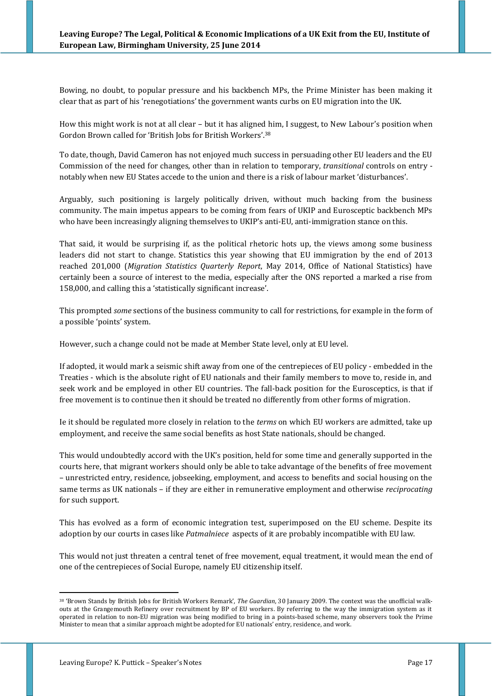Bowing, no doubt, to popular pressure and his backbench MPs, the Prime Minister has been making it clear that as part of his 'renegotiations' the government wants curbs on EU migration into the UK.

How this might work is not at all clear – but it has aligned him, I suggest, to New Labour's position when Gordon Brown called for 'British Jobs for British Workers'.<sup>38</sup>

To date, though, David Cameron has not enjoyed much success in persuading other EU leaders and the EU Commission of the need for changes, other than in relation to temporary, *transitional* controls on entry notably when new EU States accede to the union and there is a risk of labour market 'disturbances'.

Arguably, such positioning is largely politically driven, without much backing from the business community. The main impetus appears to be coming from fears of UKIP and Eurosceptic backbench MPs who have been increasingly aligning themselves to UKIP's anti-EU, anti-immigration stance on this.

That said, it would be surprising if, as the political rhetoric hots up, the views among some business leaders did not start to change. Statistics this year showing that EU immigration by the end of 2013 reached 201,000 (*Migration Statistics Quarterly Report*, May 2014, Office of National Statistics) have certainly been a source of interest to the media, especially after the ONS reported a marked a rise from 158,000, and calling this a 'statistically significant increase'.

This prompted *some* sections of the business community to call for restrictions, for example in the form of a possible 'points' system.

However, such a change could not be made at Member State level, only at EU level.

If adopted, it would mark a seismic shift away from one of the centrepieces of EU policy - embedded in the Treaties - which is the absolute right of EU nationals and their family members to move to, reside in, and seek work and be employed in other EU countries. The fall-back position for the Eurosceptics, is that if free movement is to continue then it should be treated no differently from other forms of migration.

Ie it should be regulated more closely in relation to the *terms* on which EU workers are admitted, take up employment, and receive the same social benefits as host State nationals, should be changed.

This would undoubtedly accord with the UK's position, held for some time and generally supported in the courts here, that migrant workers should only be able to take advantage of the benefits of free movement – unrestricted entry, residence, jobseeking, employment, and access to benefits and social housing on the same terms as UK nationals – if they are either in remunerative employment and otherwise *reciprocating* for such support.

This has evolved as a form of economic integration test, superimposed on the EU scheme. Despite its adoption by our courts in cases like *Patmalniece* aspects of it are probably incompatible with EU law.

This would not just threaten a central tenet of free movement, equal treatment, it would mean the end of one of the centrepieces of Social Europe, namely EU citizenship itself.

<sup>38</sup> 'Brown Stands by British Jobs for British Workers Remark', *The Guardian*, 30 January 2009. The context was the unofficial walkouts at the Grangemouth Refinery over recruitment by BP of EU workers. By referring to the way the immigration system as it operated in relation to non-EU migration was being modified to bring in a points-based scheme, many observers took the Prime Minister to mean that a similar approach might be adopted for EU nationals' entry, residence, and work.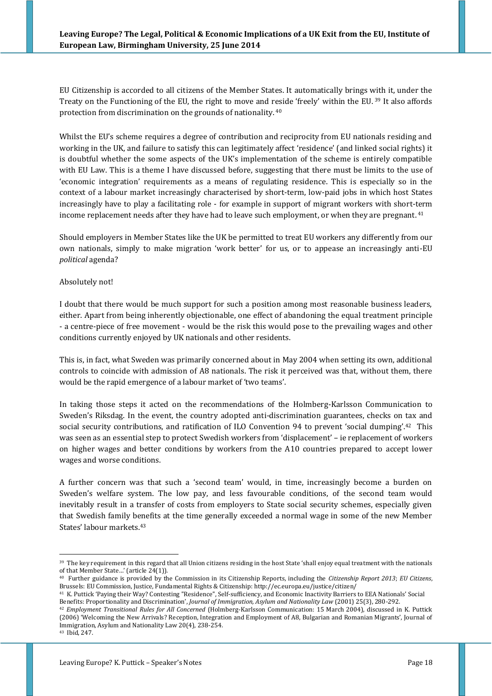EU Citizenship is accorded to all citizens of the Member States. It automatically brings with it, under the Treaty on the Functioning of the EU, the right to move and reside 'freely' within the EU. <sup>39</sup> It also affords protection from discrimination on the grounds of nationality. 40

Whilst the EU's scheme requires a degree of contribution and reciprocity from EU nationals residing and working in the UK, and failure to satisfy this can legitimately affect 'residence' (and linked social rights) it is doubtful whether the some aspects of the UK's implementation of the scheme is entirely compatible with EU Law. This is a theme I have discussed before, suggesting that there must be limits to the use of 'economic integration' requirements as a means of regulating residence. This is especially so in the context of a labour market increasingly characterised by short-term, low-paid jobs in which host States increasingly have to play a facilitating role - for example in support of migrant workers with short-term income replacement needs after they have had to leave such employment, or when they are pregnant.<sup>41</sup>

Should employers in Member States like the UK be permitted to treat EU workers any differently from our own nationals, simply to make migration 'work better' for us, or to appease an increasingly anti-EU *political* agenda?

### Absolutely not!

I doubt that there would be much support for such a position among most reasonable business leaders, either. Apart from being inherently objectionable, one effect of abandoning the equal treatment principle - a centre-piece of free movement - would be the risk this would pose to the prevailing wages and other conditions currently enjoyed by UK nationals and other residents.

This is, in fact, what Sweden was primarily concerned about in May 2004 when setting its own, additional controls to coincide with admission of A8 nationals. The risk it perceived was that, without them, there would be the rapid emergence of a labour market of 'two teams'.

In taking those steps it acted on the recommendations of the Holmberg-Karlsson Communication to Sweden's Riksdag. In the event, the country adopted anti-discrimination guarantees, checks on tax and social security contributions, and ratification of ILO Convention 94 to prevent 'social dumping'.<sup>42</sup> This was seen as an essential step to protect Swedish workers from 'displacement' – ie replacement of workers on higher wages and better conditions by workers from the A10 countries prepared to accept lower wages and worse conditions.

A further concern was that such a 'second team' would, in time, increasingly become a burden on Sweden's welfare system. The low pay, and less favourable conditions, of the second team would inevitably result in a transfer of costs from employers to State social security schemes, especially given that Swedish family benefits at the time generally exceeded a normal wage in some of the new Member States' labour markets.<sup>43</sup>

<sup>&</sup>lt;sup>39</sup> The key requirement in this regard that all Union citizens residing in the host State 'shall enjoy equal treatment with the nationals of that Member State…' (article 24(1)).

<sup>40</sup> Further guidance is provided by the Commission in its Citizenship Reports, including the *Citizenship Report 2013*; *EU Citizens*, Brussels: EU Commission, Justice, Fundamental Rights & Citizenship: http://ec.europa.eu/justice/citizen/

<sup>41</sup> K. Puttick 'Paying their Way? Contesting "Residence", Self-sufficiency, and Economic Inactivity Barriers to EEA Nationals' Social Benefits: Proportionality and Discrimination', *Journal of Immigration, Asylum and Nationality Law* (2001) 25(3), 280-292.

<sup>42</sup> *Employment Transitional Rules for All Concerned* (Holmberg-Karlsson Communication: 15 March 2004), discussed in K. Puttick (2006) 'Welcoming the New Arrivals? Reception, Integration and Employment of A8, Bulgarian and Romanian Migrants', Journal of Immigration, Asylum and Nationality Law 20(4), 238-254.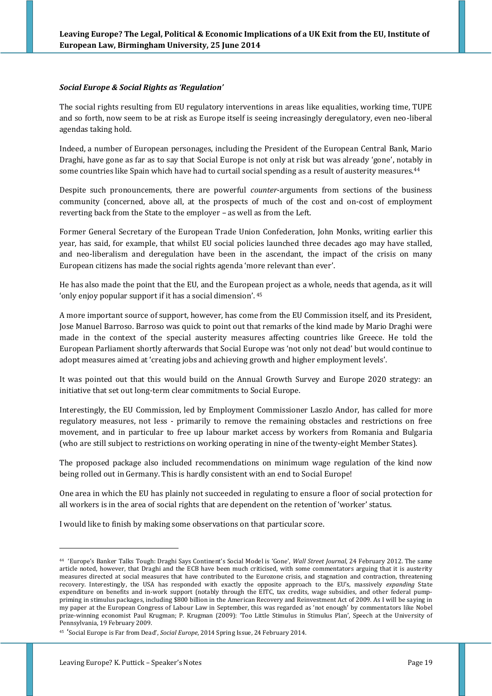#### *Social Europe & Social Rights as 'Regulation'*

The social rights resulting from EU regulatory interventions in areas like equalities, working time, TUPE and so forth, now seem to be at risk as Europe itself is seeing increasingly deregulatory, even neo-liberal agendas taking hold.

Indeed, a number of European personages, including the President of the European Central Bank, Mario Draghi, have gone as far as to say that Social Europe is not only at risk but was already 'gone', notably in some countries like Spain which have had to curtail social spending as a result of austerity measures.<sup>44</sup>

Despite such pronouncements, there are powerful *counter*-arguments from sections of the business community (concerned, above all, at the prospects of much of the cost and on-cost of employment reverting back from the State to the employer – as well as from the Left.

Former General Secretary of the European Trade Union Confederation, John Monks, writing earlier this year, has said, for example, that whilst EU social policies launched three decades ago may have stalled, and neo-liberalism and deregulation have been in the ascendant, the impact of the crisis on many European citizens has made the social rights agenda 'more relevant than ever'.

He has also made the point that the EU, and the European project as a whole, needs that agenda, as it will 'only enjoy popular support if it has a social dimension'. 45

A more important source of support, however, has come from the EU Commission itself, and its President, Jose Manuel Barroso. Barroso was quick to point out that remarks of the kind made by Mario Draghi were made in the context of the special austerity measures affecting countries like Greece. He told the European Parliament shortly afterwards that Social Europe was 'not only not dead' but would continue to adopt measures aimed at 'creating jobs and achieving growth and higher employment levels'.

It was pointed out that this would build on the Annual Growth Survey and Europe 2020 strategy: an initiative that set out long-term clear commitments to Social Europe.

Interestingly, the EU Commission, led by Employment Commissioner Laszlo Andor, has called for more regulatory measures, not less - primarily to remove the remaining obstacles and restrictions on free movement, and in particular to free up labour market access by workers from Romania and Bulgaria (who are still subject to restrictions on working operating in nine of the twenty-eight Member States).

The proposed package also included recommendations on minimum wage regulation of the kind now being rolled out in Germany. This is hardly consistent with an end to Social Europe!

One area in which the EU has plainly not succeeded in regulating to ensure a floor of social protection for all workers is in the area of social rights that are dependent on the retention of 'worker' status.

I would like to finish by making some observations on that particular score.

<sup>44</sup> 'Europe's Banker Talks Tough: Draghi Says Continent's Social Model is 'Gone', *Wall Street Journal*, 24 February 2012. The same article noted, however, that Draghi and the ECB have been much criticised, with some commentators arguing that it is austerity measures directed at social measures that have contributed to the Eurozone crisis, and stagnation and contraction, threatening recovery. Interestingly, the USA has responded with exactly the opposite approach to the EU's, massively *expanding* State expenditure on benefits and in-work support (notably through the EITC, tax credits, wage subsidies, and other federal pumppriming in stimulus packages, including \$800 billion in the American Recovery and Reinvestment Act of 2009. As I will be saying in my paper at the European Congress of Labour Law in September, this was regarded as 'not enough' by commentators like Nobel prize-winning economist Paul Krugman; P. Krugman (2009): 'Too Little Stimulus in Stimulus Plan', Speech at the University of Pennsylvania, 19 February 2009.

<sup>45</sup> 'Social Europe is Far from Dead', *Social Europe*, 2014 Spring Issue, 24 February 2014.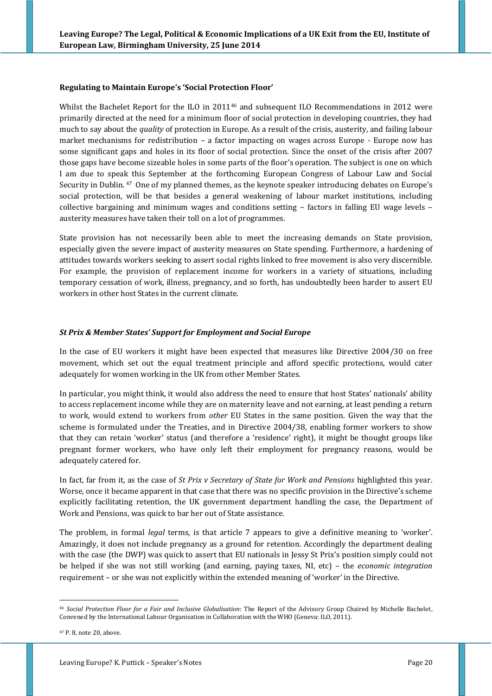#### **Regulating to Maintain Europe's 'Social Protection Floor'**

Whilst the Bachelet Report for the ILO in 2011<sup>46</sup> and subsequent ILO Recommendations in 2012 were primarily directed at the need for a minimum floor of social protection in developing countries, they had much to say about the *quality* of protection in Europe. As a result of the crisis, austerity, and failing labour market mechanisms for redistribution – a factor impacting on wages across Europe - Europe now has some significant gaps and holes in its floor of social protection. Since the onset of the crisis after 2007 those gaps have become sizeable holes in some parts of the floor's operation. The subject is one on which I am due to speak this September at the forthcoming European Congress of Labour Law and Social Security in Dublin.<sup>47</sup> One of my planned themes, as the keynote speaker introducing debates on Europe's social protection, will be that besides a general weakening of labour market institutions, including collective bargaining and minimum wages and conditions setting – factors in falling EU wage levels – austerity measures have taken their toll on a lot of programmes.

State provision has not necessarily been able to meet the increasing demands on State provision, especially given the severe impact of austerity measures on State spending. Furthermore, a hardening of attitudes towards workers seeking to assert social rights linked to free movement is also very discernible. For example, the provision of replacement income for workers in a variety of situations, including temporary cessation of work, illness, pregnancy, and so forth, has undoubtedly been harder to assert EU workers in other host States in the current climate.

### *St Prix & Member States' Support for Employment and Social Europe*

In the case of EU workers it might have been expected that measures like Directive 2004/30 on free movement, which set out the equal treatment principle and afford specific protections, would cater adequately for women working in the UK from other Member States.

In particular, you might think, it would also address the need to ensure that host States' nationals' ability to access replacement income while they are on maternity leave and not earning, at least pending a return to work, would extend to workers from *other* EU States in the same position. Given the way that the scheme is formulated under the Treaties, and in Directive 2004/38, enabling former workers to show that they can retain 'worker' status (and therefore a 'residence' right), it might be thought groups like pregnant former workers, who have only left their employment for pregnancy reasons, would be adequately catered for.

In fact, far from it, as the case of *St Prix v Secretary of State for Work and Pensions* highlighted this year. Worse, once it became apparent in that case that there was no specific provision in the Directive's scheme explicitly facilitating retention, the UK government department handling the case, the Department of Work and Pensions, was quick to bar her out of State assistance.

The problem, in formal *legal* terms, is that article 7 appears to give a definitive meaning to 'worker'. Amazingly, it does not include pregnancy as a ground for retention. Accordingly the department dealing with the case (the DWP) was quick to assert that EU nationals in Jessy St Prix's position simply could not be helped if she was not still working (and earning, paying taxes, NI, etc) – the *economic integration* requirement – or she was not explicitly within the extended meaning of 'worker' in the Directive.

<sup>&</sup>lt;u>.</u> <sup>46</sup> *Social Protection Floor for a Fair and Inclusive Globalisation*: The Report of the Advisory Group Chaired by Michelle Bachelet, Convened by the International Labour Organisation in Collaboration with the WHO (Geneva: ILO, 2011).

<sup>47</sup> P. 8, note 20, above.